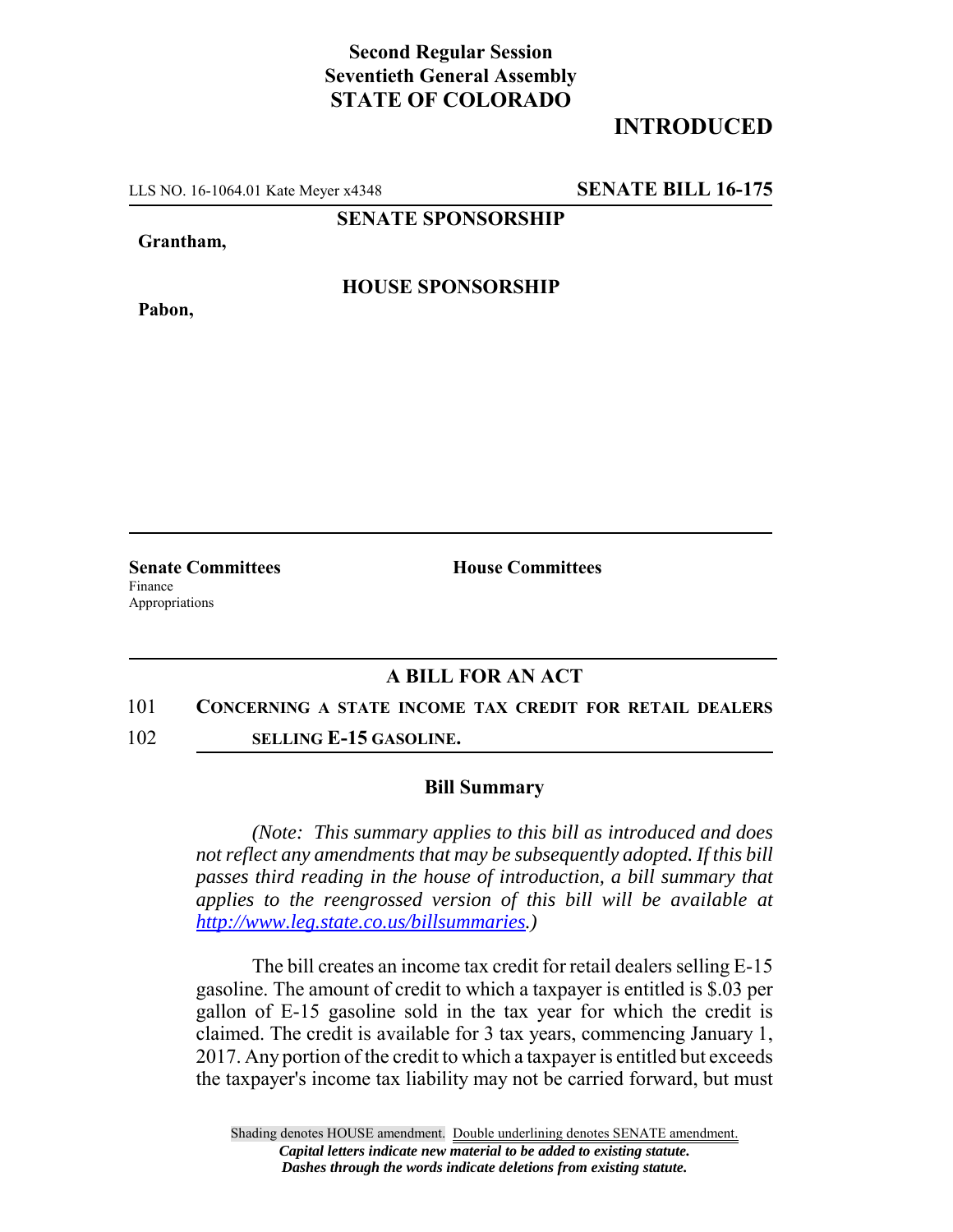## **Second Regular Session Seventieth General Assembly STATE OF COLORADO**

# **INTRODUCED**

LLS NO. 16-1064.01 Kate Meyer x4348 **SENATE BILL 16-175**

**SENATE SPONSORSHIP**

#### **Grantham,**

**Pabon,**

## **HOUSE SPONSORSHIP**

**Senate Committees House Committees** Finance Appropriations

## **A BILL FOR AN ACT**

### 101 **CONCERNING A STATE INCOME TAX CREDIT FOR RETAIL DEALERS**

102 **SELLING E-15 GASOLINE.**

### **Bill Summary**

*(Note: This summary applies to this bill as introduced and does not reflect any amendments that may be subsequently adopted. If this bill passes third reading in the house of introduction, a bill summary that applies to the reengrossed version of this bill will be available at http://www.leg.state.co.us/billsummaries.)*

The bill creates an income tax credit for retail dealers selling E-15 gasoline. The amount of credit to which a taxpayer is entitled is \$.03 per gallon of E-15 gasoline sold in the tax year for which the credit is claimed. The credit is available for 3 tax years, commencing January 1, 2017. Any portion of the credit to which a taxpayer is entitled but exceeds the taxpayer's income tax liability may not be carried forward, but must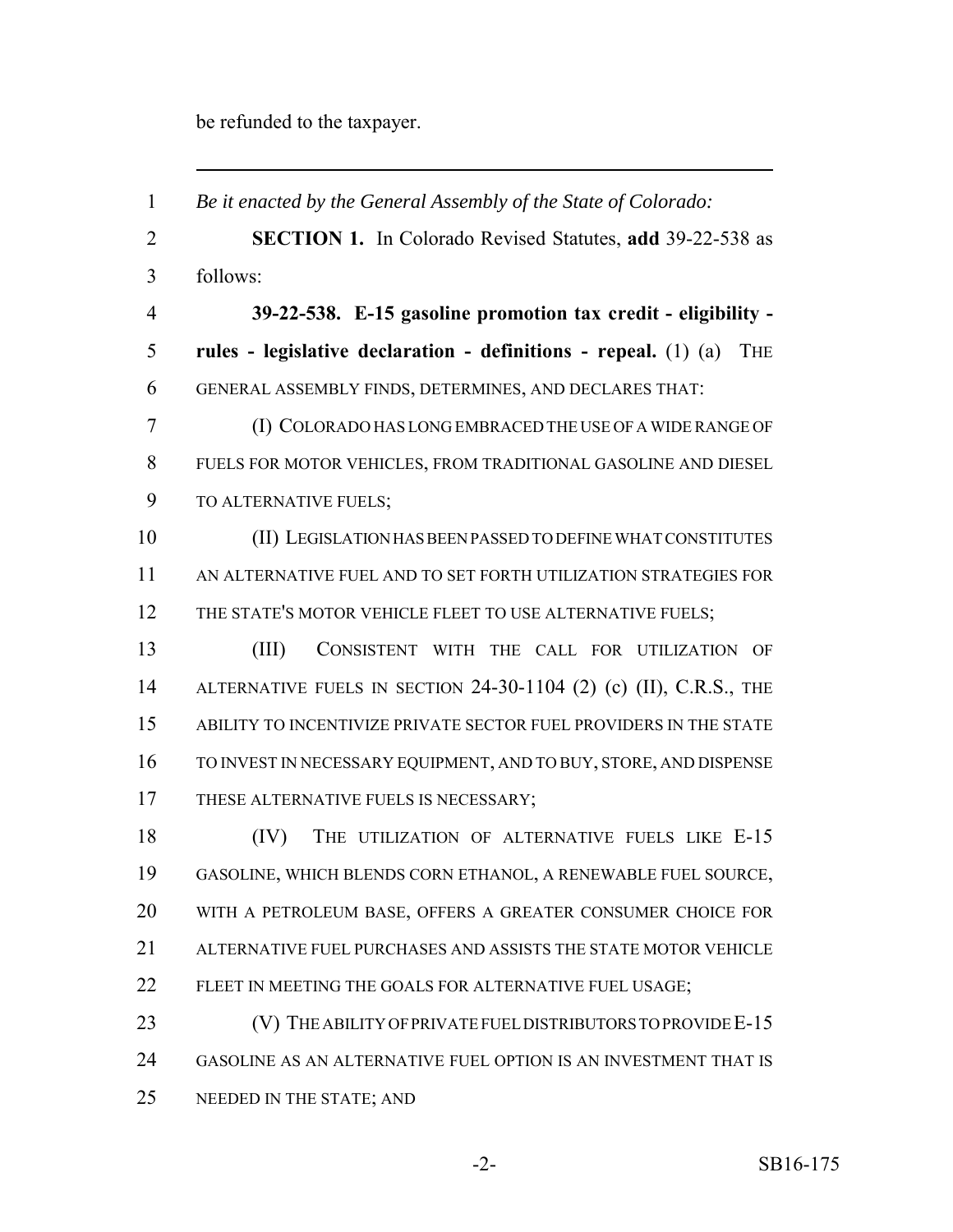be refunded to the taxpayer.

 *Be it enacted by the General Assembly of the State of Colorado:* **SECTION 1.** In Colorado Revised Statutes, **add** 39-22-538 as follows: **39-22-538. E-15 gasoline promotion tax credit - eligibility - rules - legislative declaration - definitions - repeal.** (1) (a) THE GENERAL ASSEMBLY FINDS, DETERMINES, AND DECLARES THAT: (I) COLORADO HAS LONG EMBRACED THE USE OF A WIDE RANGE OF FUELS FOR MOTOR VEHICLES, FROM TRADITIONAL GASOLINE AND DIESEL TO ALTERNATIVE FUELS; (II) LEGISLATION HAS BEEN PASSED TO DEFINE WHAT CONSTITUTES AN ALTERNATIVE FUEL AND TO SET FORTH UTILIZATION STRATEGIES FOR 12 THE STATE'S MOTOR VEHICLE FLEET TO USE ALTERNATIVE FUELS; (III) CONSISTENT WITH THE CALL FOR UTILIZATION OF 14 ALTERNATIVE FUELS IN SECTION 24-30-1104 (2) (c) (II), C.R.S., THE ABILITY TO INCENTIVIZE PRIVATE SECTOR FUEL PROVIDERS IN THE STATE TO INVEST IN NECESSARY EQUIPMENT, AND TO BUY, STORE, AND DISPENSE 17 THESE ALTERNATIVE FUELS IS NECESSARY; 18 (IV) THE UTILIZATION OF ALTERNATIVE FUELS LIKE E-15 GASOLINE, WHICH BLENDS CORN ETHANOL, A RENEWABLE FUEL SOURCE, WITH A PETROLEUM BASE, OFFERS A GREATER CONSUMER CHOICE FOR ALTERNATIVE FUEL PURCHASES AND ASSISTS THE STATE MOTOR VEHICLE 22 FLEET IN MEETING THE GOALS FOR ALTERNATIVE FUEL USAGE; **(V)** THE ABILITY OF PRIVATE FUEL DISTRIBUTORS TO PROVIDE E-15 GASOLINE AS AN ALTERNATIVE FUEL OPTION IS AN INVESTMENT THAT IS NEEDED IN THE STATE; AND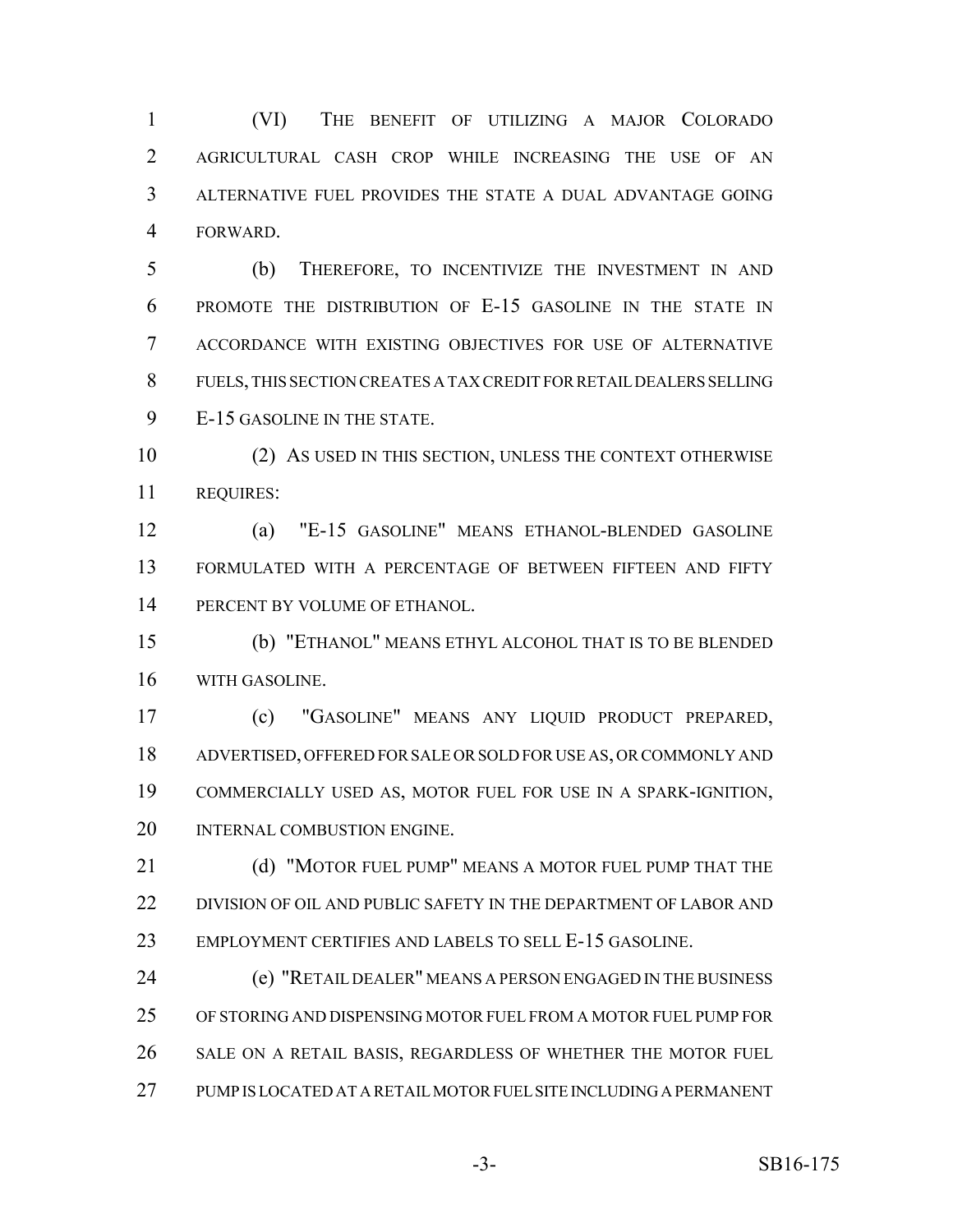(VI) THE BENEFIT OF UTILIZING A MAJOR COLORADO AGRICULTURAL CASH CROP WHILE INCREASING THE USE OF AN ALTERNATIVE FUEL PROVIDES THE STATE A DUAL ADVANTAGE GOING FORWARD.

 (b) THEREFORE, TO INCENTIVIZE THE INVESTMENT IN AND PROMOTE THE DISTRIBUTION OF E-15 GASOLINE IN THE STATE IN ACCORDANCE WITH EXISTING OBJECTIVES FOR USE OF ALTERNATIVE FUELS, THIS SECTION CREATES A TAX CREDIT FOR RETAIL DEALERS SELLING E-15 GASOLINE IN THE STATE.

 (2) AS USED IN THIS SECTION, UNLESS THE CONTEXT OTHERWISE REQUIRES:

 (a) "E-15 GASOLINE" MEANS ETHANOL-BLENDED GASOLINE FORMULATED WITH A PERCENTAGE OF BETWEEN FIFTEEN AND FIFTY PERCENT BY VOLUME OF ETHANOL.

 (b) "ETHANOL" MEANS ETHYL ALCOHOL THAT IS TO BE BLENDED WITH GASOLINE.

 (c) "GASOLINE" MEANS ANY LIQUID PRODUCT PREPARED, ADVERTISED, OFFERED FOR SALE OR SOLD FOR USE AS, OR COMMONLY AND COMMERCIALLY USED AS, MOTOR FUEL FOR USE IN A SPARK-IGNITION, 20 INTERNAL COMBUSTION ENGINE.

21 (d) "MOTOR FUEL PUMP" MEANS A MOTOR FUEL PUMP THAT THE 22 DIVISION OF OIL AND PUBLIC SAFETY IN THE DEPARTMENT OF LABOR AND EMPLOYMENT CERTIFIES AND LABELS TO SELL E-15 GASOLINE.

 (e) "RETAIL DEALER" MEANS A PERSON ENGAGED IN THE BUSINESS OF STORING AND DISPENSING MOTOR FUEL FROM A MOTOR FUEL PUMP FOR SALE ON A RETAIL BASIS, REGARDLESS OF WHETHER THE MOTOR FUEL PUMP IS LOCATED AT A RETAIL MOTOR FUEL SITE INCLUDING A PERMANENT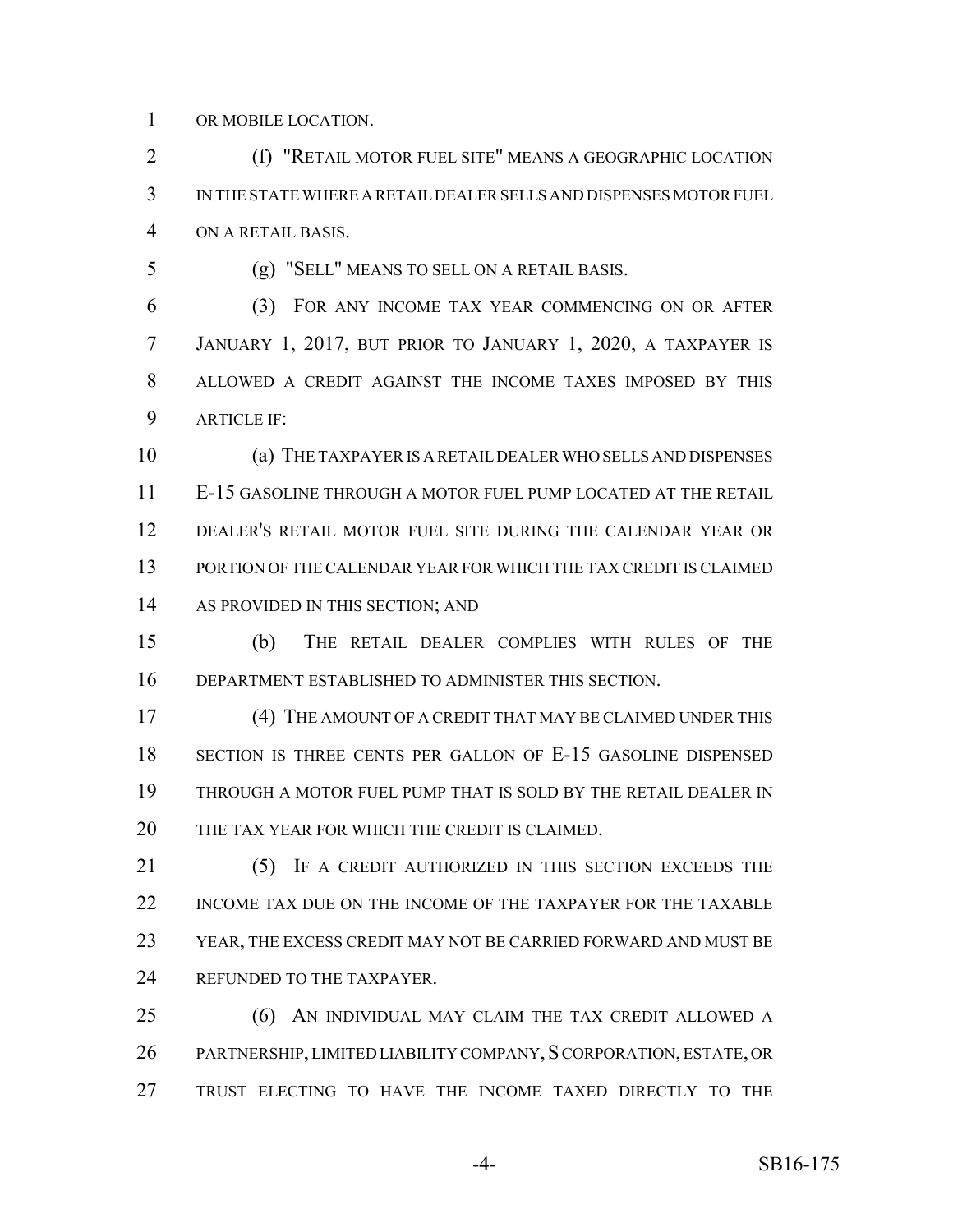OR MOBILE LOCATION.

 (f) "RETAIL MOTOR FUEL SITE" MEANS A GEOGRAPHIC LOCATION IN THE STATE WHERE A RETAIL DEALER SELLS AND DISPENSES MOTOR FUEL ON A RETAIL BASIS.

(g) "SELL" MEANS TO SELL ON A RETAIL BASIS.

 (3) FOR ANY INCOME TAX YEAR COMMENCING ON OR AFTER JANUARY 1, 2017, BUT PRIOR TO JANUARY 1, 2020, A TAXPAYER IS ALLOWED A CREDIT AGAINST THE INCOME TAXES IMPOSED BY THIS ARTICLE IF:

 (a) THE TAXPAYER IS A RETAIL DEALER WHO SELLS AND DISPENSES E-15 GASOLINE THROUGH A MOTOR FUEL PUMP LOCATED AT THE RETAIL DEALER'S RETAIL MOTOR FUEL SITE DURING THE CALENDAR YEAR OR PORTION OF THE CALENDAR YEAR FOR WHICH THE TAX CREDIT IS CLAIMED AS PROVIDED IN THIS SECTION; AND

 (b) THE RETAIL DEALER COMPLIES WITH RULES OF THE DEPARTMENT ESTABLISHED TO ADMINISTER THIS SECTION.

 (4) THE AMOUNT OF A CREDIT THAT MAY BE CLAIMED UNDER THIS SECTION IS THREE CENTS PER GALLON OF E-15 GASOLINE DISPENSED THROUGH A MOTOR FUEL PUMP THAT IS SOLD BY THE RETAIL DEALER IN THE TAX YEAR FOR WHICH THE CREDIT IS CLAIMED.

21 (5) IF A CREDIT AUTHORIZED IN THIS SECTION EXCEEDS THE INCOME TAX DUE ON THE INCOME OF THE TAXPAYER FOR THE TAXABLE YEAR, THE EXCESS CREDIT MAY NOT BE CARRIED FORWARD AND MUST BE 24 REFUNDED TO THE TAXPAYER.

 (6) AN INDIVIDUAL MAY CLAIM THE TAX CREDIT ALLOWED A 26 PARTNERSHIP, LIMITED LIABILITY COMPANY, SCORPORATION, ESTATE, OR TRUST ELECTING TO HAVE THE INCOME TAXED DIRECTLY TO THE